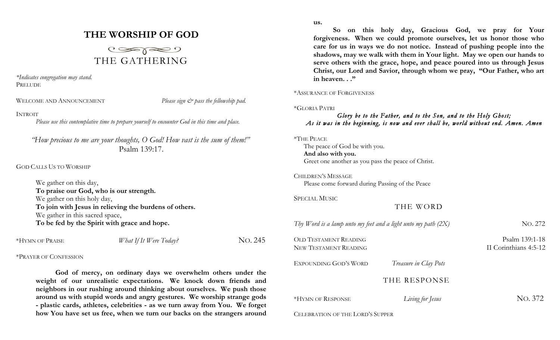# **THE WORSHIP OF GOD**



*\*Indicates congregation may stand.* PRELUDE

WELCOME AND ANNOUNCEMENT *Please sign*  $\breve{c}$  *pass the fellowship pad.* 

## INTROIT

*Please use this contemplative time to prepare yourself to encounter God in this time and place.*

*"How precious to me are your thoughts, O God! How vast is the sum of them!"* Psalm 139:17.

GOD CALLS US TO WORSHIP

| We gather on this day,                                 |
|--------------------------------------------------------|
| To praise our God, who is our strength.                |
| We gather on this holy day,                            |
| To join with Jesus in relieving the burdens of others. |
| We gather in this sacred space,                        |
| To be fed by the Spirit with grace and hope.           |

\*HYMN OF PRAISE *What If It Were Today?* NO. 245

### \*PRAYER OF CONFESSION

**God of mercy, on ordinary days we overwhelm others under the weight of our unrealistic expectations. We knock down friends and neighbors in our rushing around thinking about ourselves. We push those around us with stupid words and angry gestures. We worship strange gods - plastic cards, athletes, celebrities - as we turn away from You. We forget how You have set us free, when we turn our backs on the strangers around**  **us.**

**So on this holy day, Gracious God, we pray for Your forgiveness. When we could promote ourselves, let us honor those who care for us in ways we do not notice. Instead of pushing people into the shadows, may we walk with them in Your light. May we open our hands to serve others with the grace, hope, and peace poured into us through Jesus Christ, our Lord and Savior, through whom we pray, "Our Father, who art in heaven. . ."**

## \*ASSURANCE OF FORGIVENESS

### \*GLORIA PATRI

## *Glory be to the Father, and to the Son, and to the Holy Ghost; As it was in the beginning, is now and ever shall be, world without end. Amen. Amen*

The peace of God be with you. **And also with you.** Greet one another as you pass the peace of Christ.

CHILDREN'S MESSAGE Please come forward during Passing of the Peace

SPECIAL MUSIC

THE WORD

| Thy Word is a lamp unto my feet and a light unto my path $(2X)$ |                       | No. 272                                 |
|-----------------------------------------------------------------|-----------------------|-----------------------------------------|
| OLD TESTAMENT READING<br>NEW TESTAMENT READING                  |                       | Psalm 139:1-18<br>II Corinthians 4:5-12 |
| EXPOUNDING GOD'S WORD                                           | Treasure in Clay Pots |                                         |
|                                                                 | THE RESPONSE          |                                         |
| *HYMN OF RESPONSE                                               | Living for Jesus      | No. 372                                 |
| CEI EBRATION OF THE LORD'S SUPPER                               |                       |                                         |